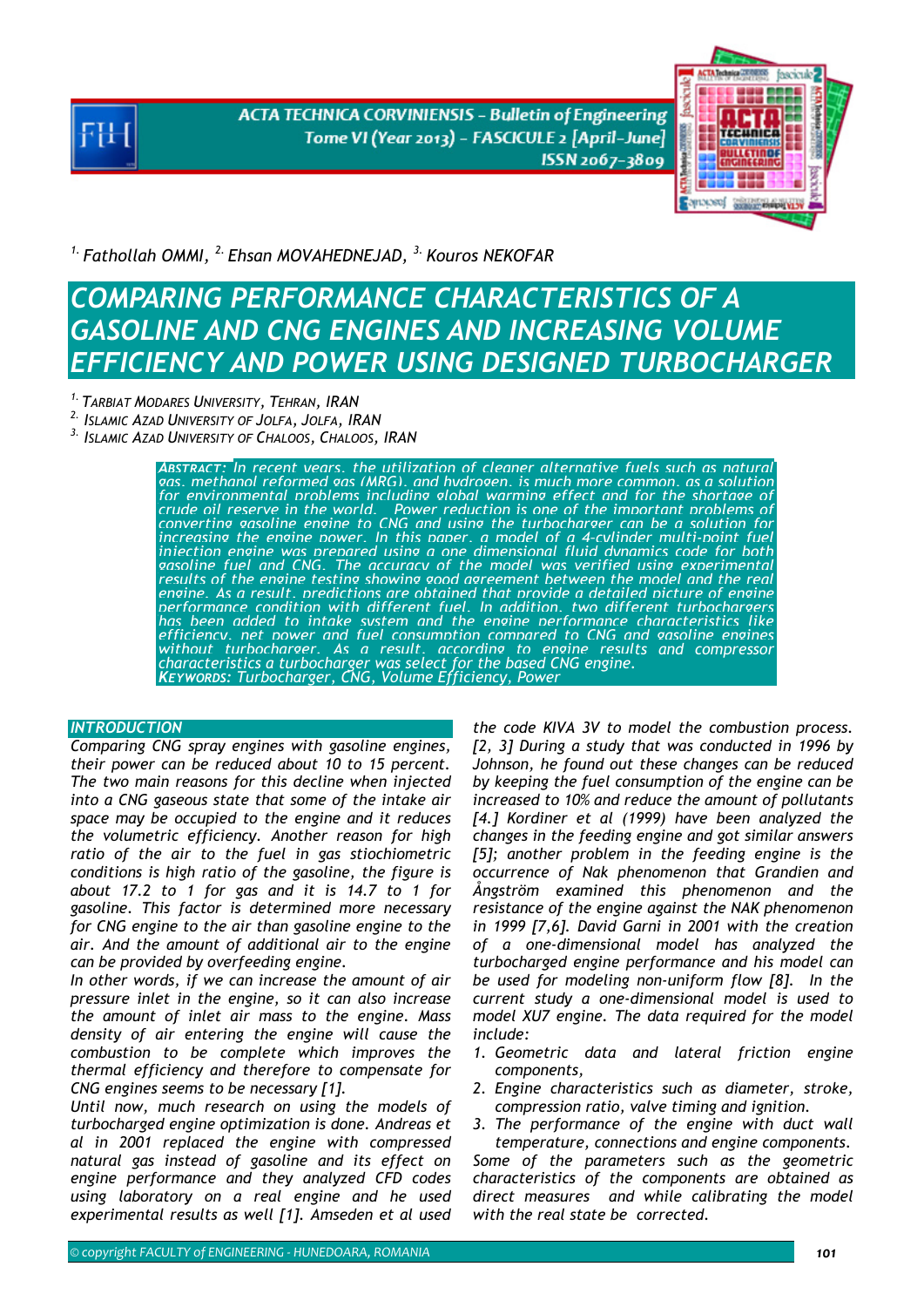**ACTA TECHNICA CORVINIENSIS - Bulletin of Engineering** Tome VI (Year 2013) - FASCICULE 2 [April-June] ISSN 2067-3809



*1. Fathollah OMMI, 2. Ehsan MOVAHEDNEJAD, 3. Kouros NEKOFAR* 

# *COMPARING PERFORMANCE CHARACTERISTICS OF A GASOLINE AND CNG ENGINES AND INCREASING VOLUME EFFICIENCY AND POWER USING DESIGNED TURBOCHARGER*

- *1. TARBIAT MODARES UNIVERSITY, TEHRAN, IRAN*
- *2. ISLAMIC AZAD UNIVERSITY OF JOLFA, JOLFA, IRAN*
- *3. ISLAMIC AZAD UNIVERSITY OF CHALOOS, CHALOOS, IRAN*

*ABSTRACT: In recent years, the utilization of cleaner alternative fuels such as natural gas, methanol reformed gas (MRG), and hydrogen, is much more common, as a solution for environmental problems including global warming effect and for the shortage of* crude oil reserve in the world. Power reduction is one of the inordant problems of<br>converting gasoline engine to CNG and using the turbocharger can be a solution for<br>increasing the engine nower. In this naner, a model of a enoine. As a result, predictions are obtained that provide a detailed picture of enome<br>performance condition with different fuel. In addition, two different turbochargers<br>has been added to intake system and the enoine perf *KEYWORDS: Turbocharger, CNG, Volume Efficiency, Power* 

## **INTRODUCTION**

*Comparing CNG spray engines with gasoline engines, their power can be reduced about 10 to 15 percent. The two main reasons for this decline when injected into a CNG gaseous state that some of the intake air space may be occupied to the engine and it reduces the volumetric efficiency. Another reason for high ratio of the air to the fuel in gas stiochiometric conditions is high ratio of the gasoline, the figure is about 17.2 to 1 for gas and it is 14.7 to 1 for gasoline. This factor is determined more necessary for CNG engine to the air than gasoline engine to the air. And the amount of additional air to the engine can be provided by overfeeding engine.* 

*In other words, if we can increase the amount of air pressure inlet in the engine, so it can also increase the amount of inlet air mass to the engine. Mass density of air entering the engine will cause the combustion to be complete which improves the thermal efficiency and therefore to compensate for CNG engines seems to be necessary [1].* 

*Until now, much research on using the models of turbocharged engine optimization is done. Andreas et al in 2001 replaced the engine with compressed natural gas instead of gasoline and its effect on engine performance and they analyzed CFD codes using laboratory on a real engine and he used experimental results as well [1]. Amseden et al used* 

*the code KIVA 3V to model the combustion process. [2, 3] During a study that was conducted in 1996 by Johnson, he found out these changes can be reduced by keeping the fuel consumption of the engine can be increased to 10% and reduce the amount of pollutants [4.] Kordiner et al (1999) have been analyzed the changes in the feeding engine and got similar answers [5]; another problem in the feeding engine is the occurrence of Nak phenomenon that Grandien and Ångström examined this phenomenon and the resistance of the engine against the NAK phenomenon in 1999 [7,6]. David Garni in 2001 with the creation of a one-dimensional model has analyzed the turbocharged engine performance and his model can be used for modeling non-uniform flow [8]. In the current study a one-dimensional model is used to model XU7 engine. The data required for the model include:* 

- *1. Geometric data and lateral friction engine components,*
- *2. Engine characteristics such as diameter, stroke, compression ratio, valve timing and ignition.*
- *3. The performance of the engine with duct wall temperature, connections and engine components.*

*Some of the parameters such as the geometric characteristics of the components are obtained as direct measures and while calibrating the model with the real state be corrected.*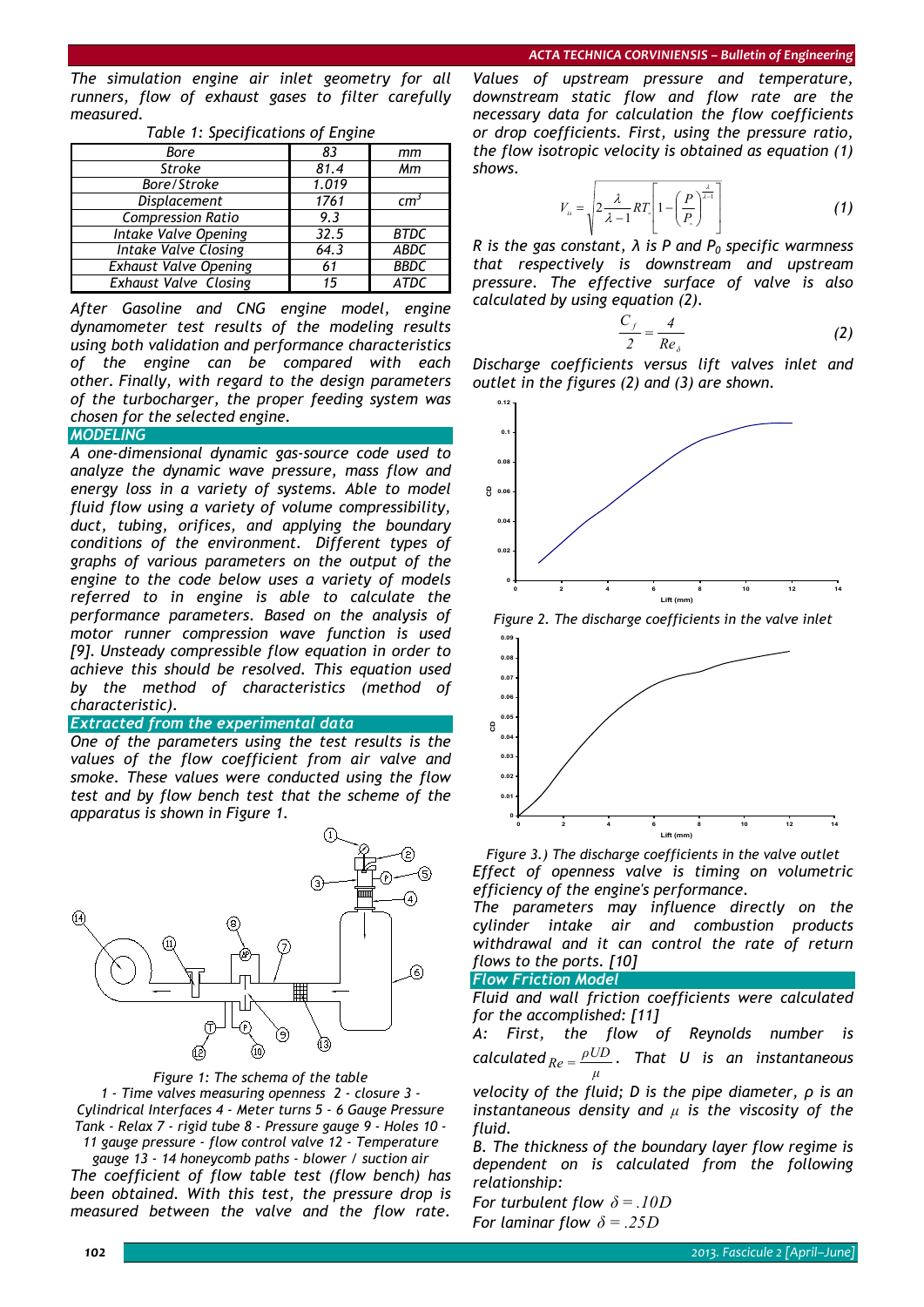*The simulation engine air inlet geometry for all runners, flow of exhaust gases to filter carefully measured.* 

| Bore                         | 83    | mm          |
|------------------------------|-------|-------------|
| <b>Stroke</b>                | 81.4  | Mm          |
| Bore/Stroke                  | 1.019 |             |
| Displacement                 | 1761  | cm          |
| <b>Compression Ratio</b>     | 9.3   |             |
| Intake Valve Opening         | 32.5  | <b>BTDC</b> |
| <b>Intake Valve Closing</b>  | 64.3  | <b>ABDC</b> |
| <b>Exhaust Valve Opening</b> | 61    | <b>BBDC</b> |
| <b>Exhaust Valve Closing</b> | 15    | ATDC        |

*Table 1: Specifications of Engine* 

*After Gasoline and CNG engine model, engine dynamometer test results of the modeling results using both validation and performance characteristics of the engine can be compared with each other. Finally, with regard to the design parameters of the turbocharger, the proper feeding system was chosen for the selected engine.* 

*MODELING* 

*A one-dimensional dynamic gas-source code used to analyze the dynamic wave pressure, mass flow and energy loss in a variety of systems. Able to model fluid flow using a variety of volume compressibility, duct, tubing, orifices, and applying the boundary conditions of the environment. Different types of graphs of various parameters on the output of the engine to the code below uses a variety of models referred to in engine is able to calculate the performance parameters. Based on the analysis of motor runner compression wave function is used [9]. Unsteady compressible flow equation in order to achieve this should be resolved. This equation used by the method of characteristics (method of characteristic).* 

### *Extracted from the experimental data*

*One of the parameters using the test results is the values of the flow coefficient from air valve and smoke. These values were conducted using the flow test and by flow bench test that the scheme of the apparatus is shown in Figure 1.* 



*Figure 1: The schema of the table 1 - Time valves measuring openness 2 - closure 3 - Cylindrical Interfaces 4 - Meter turns 5 - 6 Gauge Pressure Tank - Relax 7 - rigid tube 8 - Pressure gauge 9 - Holes 10 -* 

*11 gauge pressure - flow control valve 12 - Temperature gauge 13 - 14 honeycomb paths - blower / suction air The coefficient of flow table test (flow bench) has been obtained. With this test, the pressure drop is measured between the valve and the flow rate.* 

*Values of upstream pressure and temperature, downstream static flow and flow rate are the necessary data for calculation the flow coefficients or drop coefficients. First, using the pressure ratio, the flow isotropic velocity is obtained as equation (1) shows.* 

$$
V_{\scriptscriptstyle{B}} = \sqrt{2 \frac{\lambda}{\lambda - 1} R T_{\scriptscriptstyle{e}} \left[1 - \left(\frac{P}{P_{\scriptscriptstyle{e}}}\right)^{\frac{\lambda}{\lambda - 1}}\right]}
$$
(1)

*R* is the gas constant,  $\lambda$  is P and  $P_0$  specific warmness *that respectively is downstream and upstream pressure. The effective surface of valve is also calculated by using equation (2).* 

$$
\frac{C_f}{2} = \frac{4}{Re_{\delta}}
$$
 (2)

*Discharge coefficients versus lift valves inlet and outlet in the figures (2) and (3) are shown.* 







*Figure 3.) The discharge coefficients in the valve outlet Effect of openness valve is timing on volumetric efficiency of the engine's performance.* 

*The parameters may influence directly on the cylinder intake air and combustion products withdrawal and it can control the rate of return flows to the ports. [10]* 

### *Flow Friction Model*

*Fluid and wall friction coefficients were calculated for the accomplished: [11]* 

*A: First, the flow of Reynolds number is calculated μ*  $Re = \frac{\rho UD}{\rho}$ . That U is an instantaneous

*velocity of the fluid; D is the pipe diameter, ρ is an instantaneous density and μ is the viscosity of the fluid.* 

*B. The thickness of the boundary layer flow regime is dependent on is calculated from the following relationship:* 

*For turbulent flow*  $\delta = .10D$ *For laminar flow*  $\delta = .25D$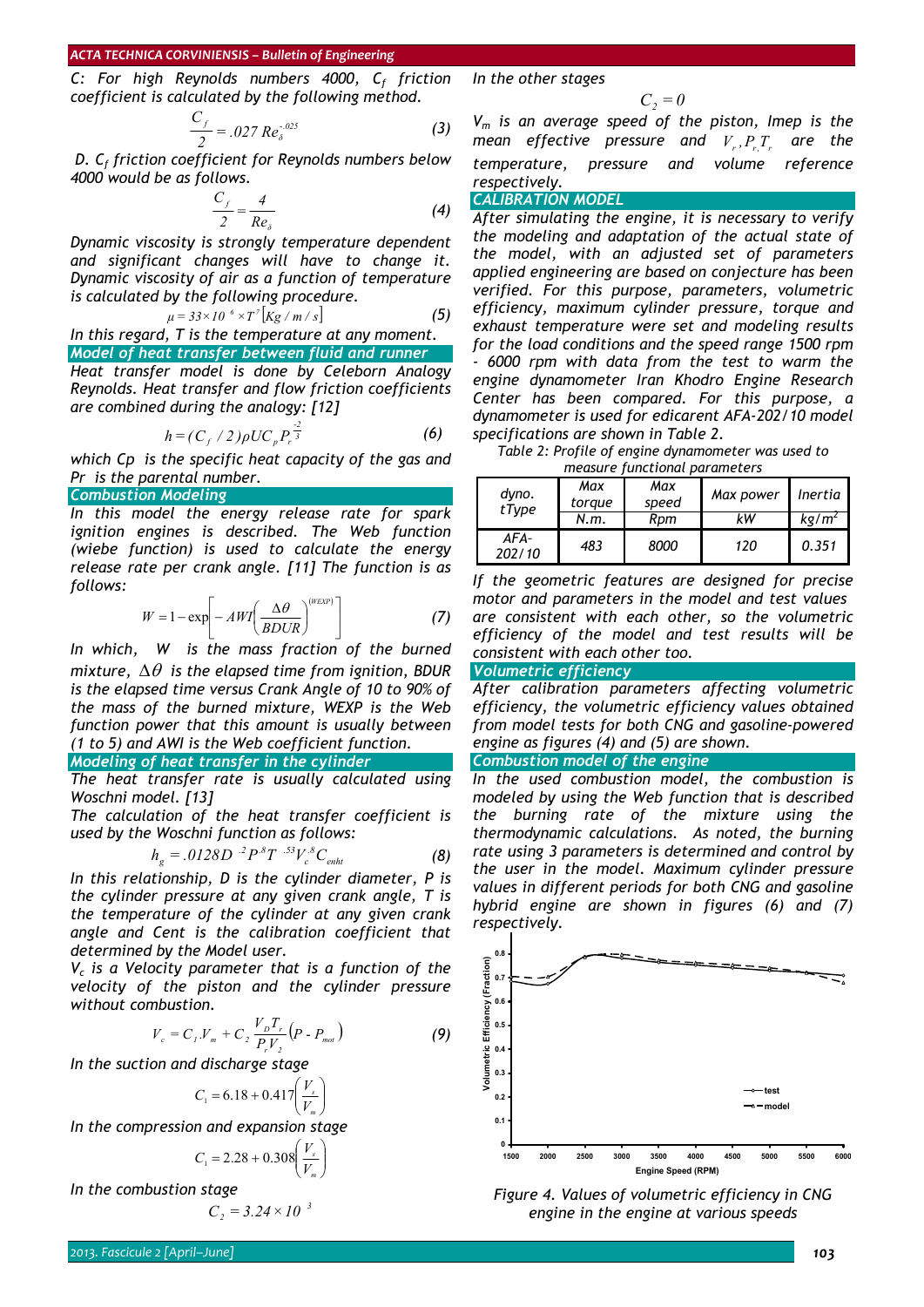*C: For high Reynolds numbers 4000, C<sub>f</sub> friction coefficient is calculated by the following method.* 

$$
\frac{C_f}{2} = .027 \, Re_{\delta}^{-.025} \tag{3}
$$

 *D. Cf friction coefficient for Reynolds numbers below 4000 would be as follows.* 

$$
\frac{C_f}{2} = \frac{4}{Re_s}
$$
 (4)

*Dynamic viscosity is strongly temperature dependent and significant changes will have to change it. Dynamic viscosity of air as a function of temperature is calculated by the following procedure.* 

$$
\mu = 33 \times 10^{-6} \times T^7 \left[ \frac{Kg}{m/s} \right] \tag{5}
$$

*In this regard, T is the temperature at any moment. Model of heat transfer between fluid and runner*

*Heat transfer model is done by Celeborn Analogy Reynolds. Heat transfer and flow friction coefficients are combined during the analogy: [12]* 

$$
h = (C_f / 2) \rho U C_p P_r^{\frac{2}{3}}
$$
 (6)

*which Cp is the specific heat capacity of the gas and Pr is the parental number.* 

### *Combustion Modeling*

*In this model the energy release rate for spark ignition engines is described. The Web function (wiebe function) is used to calculate the energy release rate per crank angle. [11] The function is as follows:* 

$$
W = 1 - \exp\left[-AWI\left(\frac{\Delta\theta}{BDUR}\right)^{(WEXP)}\right]
$$
 (7)

*In which, W is the mass fraction of the burned mixture,* Δθ *is the elapsed time from ignition, BDUR is the elapsed time versus Crank Angle of 10 to 90% of the mass of the burned mixture, WEXP is the Web function power that this amount is usually between (1 to 5) and AWI is the Web coefficient function.* 

#### *Modeling of heat transfer in the cylinder*

*The heat transfer rate is usually calculated using Woschni model. [13]* 

*The calculation of the heat transfer coefficient is used by the Woschni function as follows:* 

$$
h_g = .0128D^{-2}P^{.8}T^{-.53}V_c^{.8}C_{\text{enht}}
$$
 (8)

*In this relationship, D is the cylinder diameter, P is the cylinder pressure at any given crank angle, T is the temperature of the cylinder at any given crank angle and Cent is the calibration coefficient that determined by the Model user.* 

*Vc is a Velocity parameter that is a function of the velocity of the piston and the cylinder pressure without combustion.* 

$$
V_c = C_1.V_m + C_2 \frac{V_D T_r}{P_r V_2} (P - P_{mot})
$$
 (9)

*In the suction and discharge stage* 

$$
C_1 = 6.18 + 0.417 \left(\frac{V_s}{V_m}\right)
$$

*In the compression and expansion stage* 

$$
C_1 = 2.28 + 0.308 \left(\frac{V_s}{V_m}\right)
$$

In the combustion stage 
$$
G = 3.3
$$

$$
C_2 = 3.24 \times 10^{-3}
$$

*In the other stages* 

$$
C_2 = 0
$$

*Vm is an average speed of the piston, Imep is the mean effective pressure and*  $V_r$ *,* $P_{r_r}T_r$  *are the temperature, pressure and volume reference respectively.* 

*CALIBRATION MODEL* 

*After simulating the engine, it is necessary to verify the modeling and adaptation of the actual state of the model, with an adjusted set of parameters applied engineering are based on conjecture has been verified. For this purpose, parameters, volumetric efficiency, maximum cylinder pressure, torque and exhaust temperature were set and modeling results for the load conditions and the speed range 1500 rpm - 6000 rpm with data from the test to warm the engine dynamometer Iran Khodro Engine Research Center has been compared. For this purpose, a dynamometer is used for edicarent AFA-202/10 model specifications are shown in Table 2.* 

*Table 2: Profile of engine dynamometer was used to measure functional parameters* 

| dyno.<br>tType | Max<br>toraue | Max<br>speed | Max power | Inertia           |
|----------------|---------------|--------------|-----------|-------------------|
|                | N.m.          | Rom          | kW        | kg/m <sup>2</sup> |
| AFA-<br>202/10 | 483           | 8000         | 120       | 0.351             |

*If the geometric features are designed for precise motor and parameters in the model and test values are consistent with each other, so the volumetric efficiency of the model and test results will be consistent with each other too.* 

# *Volumetric efficiency*

*After calibration parameters affecting volumetric efficiency, the volumetric efficiency values obtained from model tests for both CNG and gasoline-powered engine as figures (4) and (5) are shown.* 

### *Combustion model of the engine*

*In the used combustion model, the combustion is modeled by using the Web function that is described the burning rate of the mixture using the thermodynamic calculations. As noted, the burning rate using 3 parameters is determined and control by the user in the model. Maximum cylinder pressure values in different periods for both CNG and gasoline hybrid engine are shown in figures (6) and (7) respectively.* 



*Figure 4. Values of volumetric efficiency in CNG engine in the engine at various speeds*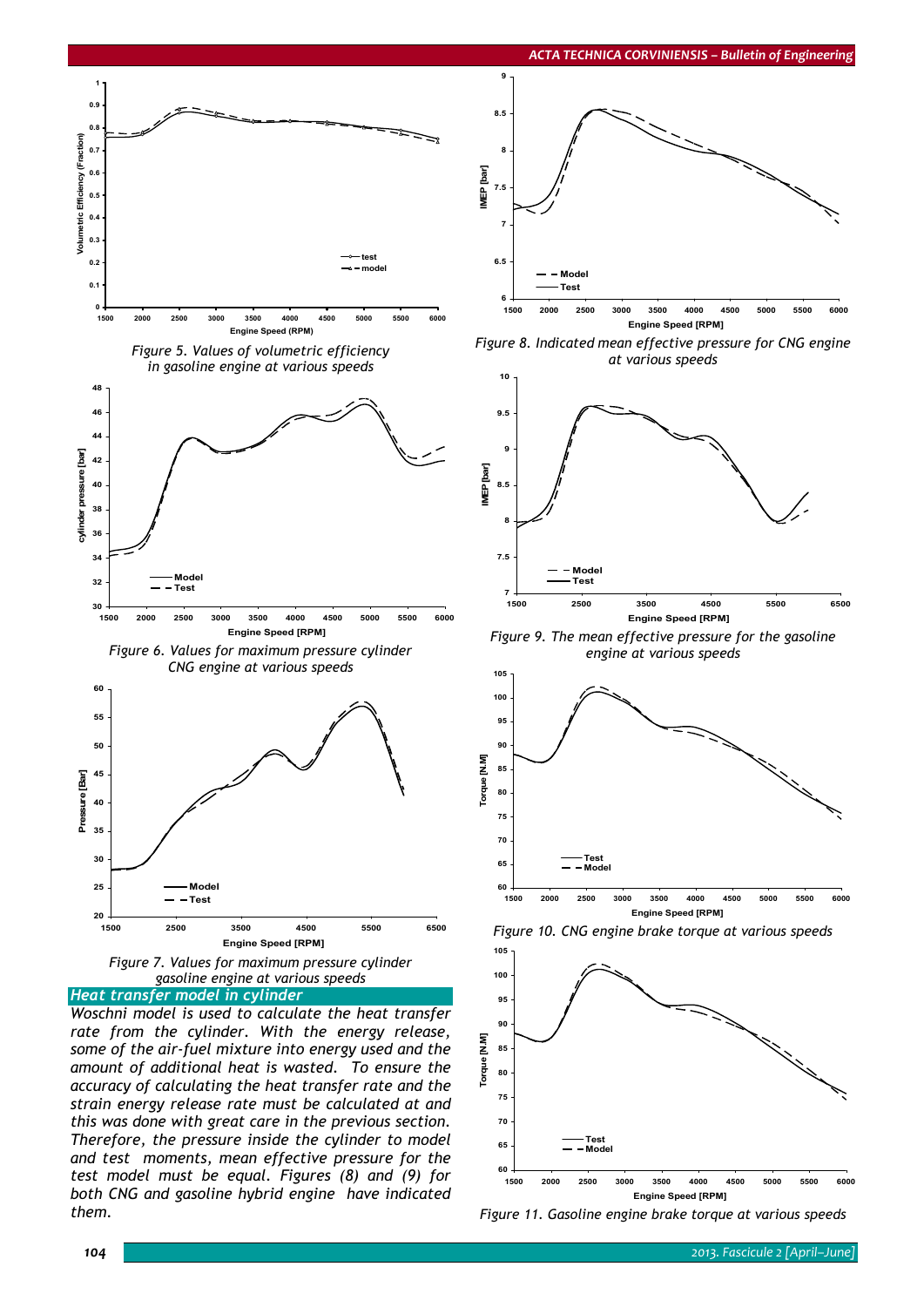



### *Heat transfer model in cylinder*

*Woschni model is used to calculate the heat transfer rate from the cylinder. With the energy release, some of the air-fuel mixture into energy used and the amount of additional heat is wasted. To ensure the accuracy of calculating the heat transfer rate and the strain energy release rate must be calculated at and this was done with great care in the previous section. Therefore, the pressure inside the cylinder to model and test moments, mean effective pressure for the test model must be equal. Figures (8) and (9) for both CNG and gasoline hybrid engine have indicated them.* 



*Figure 8. Indicated mean effective pressure for CNG engine at various speeds* 



*Figure 9. The mean effective pressure for the gasoline engine at various speeds* 



*Figure 10. CNG engine brake torque at various speeds* 



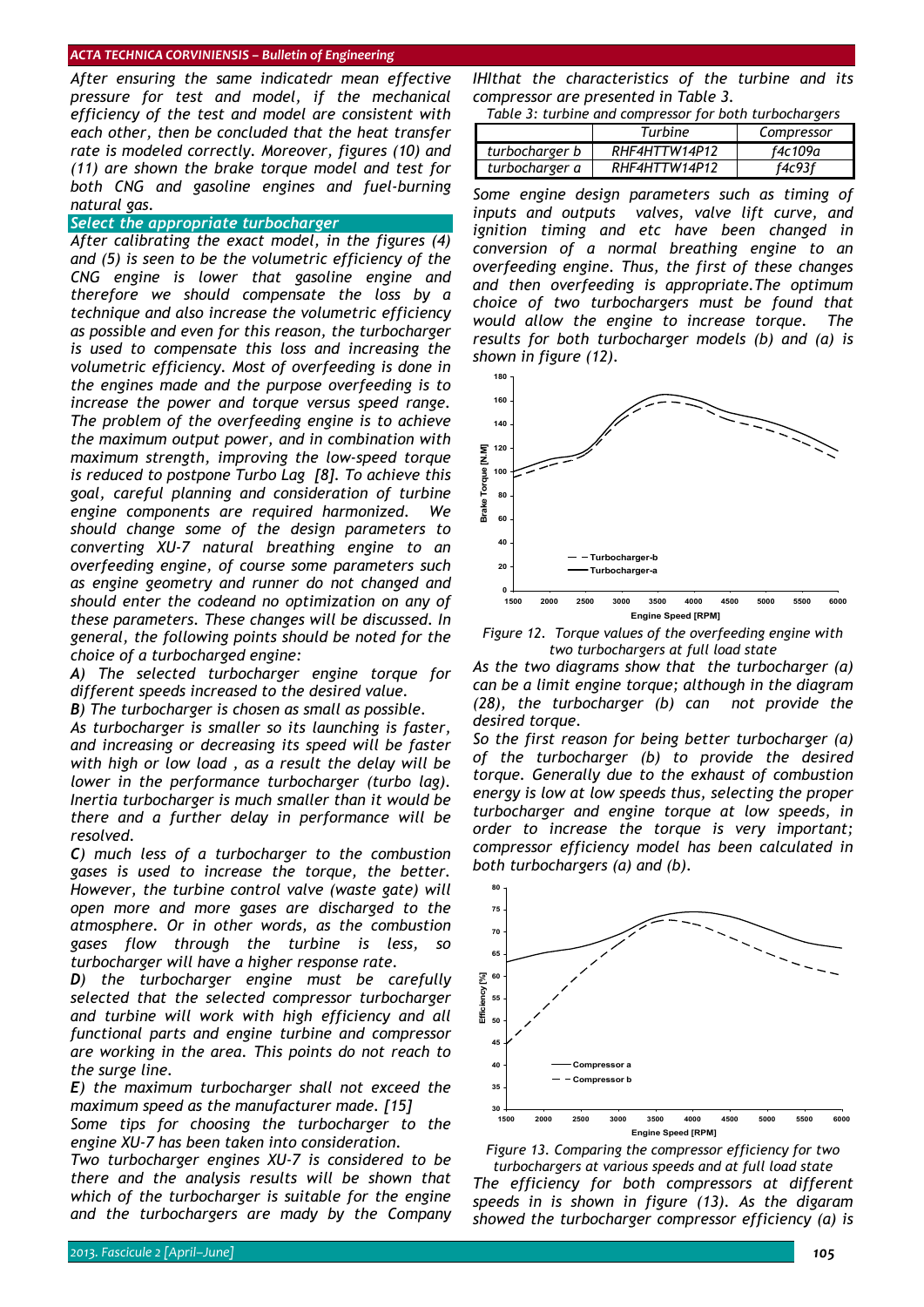*After ensuring the same indicatedr mean effective pressure for test and model, if the mechanical efficiency of the test and model are consistent with each other, then be concluded that the heat transfer rate is modeled correctly. Moreover, figures (10) and (11) are shown the brake torque model and test for both CNG and gasoline engines and fuel-burning natural gas.* 

### *Select the appropriate turbocharger*

*After calibrating the exact model, in the figures (4) and (5) is seen to be the volumetric efficiency of the CNG engine is lower that gasoline engine and therefore we should compensate the loss by a technique and also increase the volumetric efficiency as possible and even for this reason, the turbocharger is used to compensate this loss and increasing the volumetric efficiency. Most of overfeeding is done in the engines made and the purpose overfeeding is to increase the power and torque versus speed range. The problem of the overfeeding engine is to achieve the maximum output power, and in combination with maximum strength, improving the low-speed torque is reduced to postpone Turbo Lag [8]. To achieve this goal, careful planning and consideration of turbine engine components are required harmonized. We should change some of the design parameters to converting XU-7 natural breathing engine to an overfeeding engine, of course some parameters such as engine geometry and runner do not changed and should enter the codeand no optimization on any of these parameters. These changes will be discussed. In general, the following points should be noted for the choice of a turbocharged engine:* 

*A) The selected turbocharger engine torque for different speeds increased to the desired value.* 

*B) The turbocharger is chosen as small as possible.* 

*As turbocharger is smaller so its launching is faster, and increasing or decreasing its speed will be faster with high or low load , as a result the delay will be lower in the performance turbocharger (turbo lag). Inertia turbocharger is much smaller than it would be there and a further delay in performance will be resolved.* 

*C) much less of a turbocharger to the combustion gases is used to increase the torque, the better. However, the turbine control valve (waste gate) will open more and more gases are discharged to the atmosphere. Or in other words, as the combustion gases flow through the turbine is less, so turbocharger will have a higher response rate.* 

*D) the turbocharger engine must be carefully selected that the selected compressor turbocharger and turbine will work with high efficiency and all functional parts and engine turbine and compressor are working in the area. This points do not reach to the surge line.* 

*E) the maximum turbocharger shall not exceed the maximum speed as the manufacturer made. [15]* 

*Some tips for choosing the turbocharger to the engine XU-7 has been taken into consideration.* 

*Two turbocharger engines XU-7 is considered to be there and the analysis results will be shown that which of the turbocharger is suitable for the engine and the turbochargers are mady by the Company*  *IHIthat the characteristics of the turbine and its compressor are presented in Table 3.* 

*Table 3: turbine and compressor for both turbochargers* 

|                | Turbine       | Compressor |
|----------------|---------------|------------|
| turbocharger b | RHF4HTTW14P12 | f4c109a    |
| turbocharger a | RHF4HTTW14P12 | f4c93f     |

*Some engine design parameters such as timing of inputs and outputs valves, valve lift curve, and ignition timing and etc have been changed in conversion of a normal breathing engine to an overfeeding engine. Thus, the first of these changes and then overfeeding is appropriate.The optimum choice of two turbochargers must be found that would allow the engine to increase torque. The results for both turbocharger models (b) and (a) is shown in figure (12).* 



*Figure 12. Torque values of the overfeeding engine with two turbochargers at full load state* 

*As the two diagrams show that the turbocharger (a) can be a limit engine torque; although in the diagram (28), the turbocharger (b) can not provide the desired torque.* 

*So the first reason for being better turbocharger (a) of the turbocharger (b) to provide the desired torque. Generally due to the exhaust of combustion energy is low at low speeds thus, selecting the proper turbocharger and engine torque at low speeds, in order to increase the torque is very important; compressor efficiency model has been calculated in both turbochargers (a) and (b).* 



*Figure 13. Comparing the compressor efficiency for two turbochargers at various speeds and at full load state The efficiency for both compressors at different speeds in is shown in figure (13). As the digaram showed the turbocharger compressor efficiency (a) is*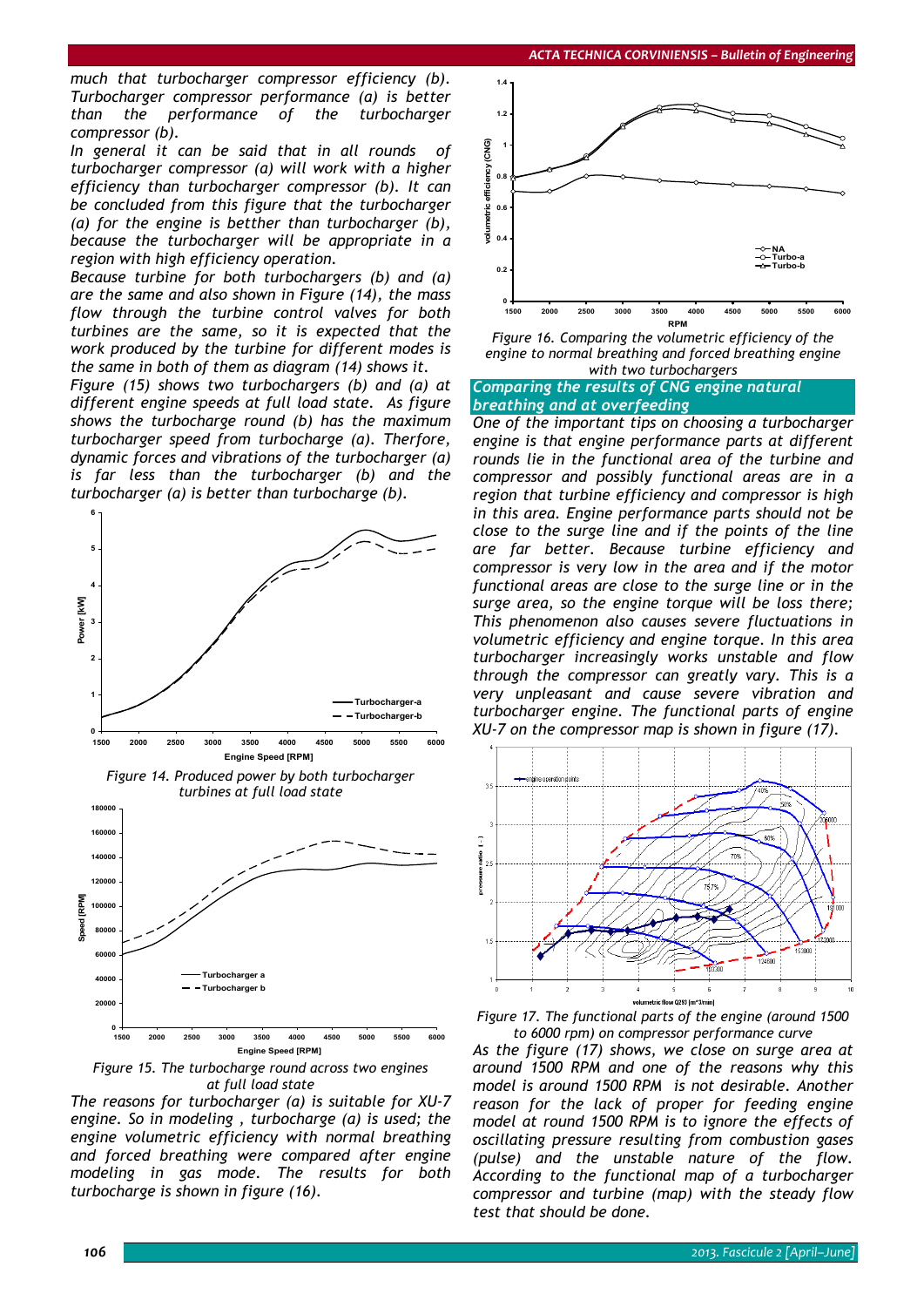*much that turbocharger compressor efficiency (b). Turbocharger compressor performance (a) is better than the performance of the turbocharger compressor (b).* 

*In general it can be said that in all rounds of turbocharger compressor (a) will work with a higher efficiency than turbocharger compressor (b). It can be concluded from this figure that the turbocharger (a) for the engine is betther than turbocharger (b), because the turbocharger will be appropriate in a region with high efficiency operation.* 

*Because turbine for both turbochargers (b) and (a) are the same and also shown in Figure (14), the mass flow through the turbine control valves for both turbines are the same, so it is expected that the work produced by the turbine for different modes is the same in both of them as diagram (14) shows it.* 

*Figure (15) shows two turbochargers (b) and (a) at different engine speeds at full load state. As figure shows the turbocharge round (b) has the maximum turbocharger speed from turbocharge (a). Therfore, dynamic forces and vibrations of the turbocharger (a) is far less than the turbocharger (b) and the turbocharger (a) is better than turbocharge (b).* 



*Figure 14. Produced power by both turbocharger turbines at full load state* 



*Figure 15. The turbocharge round across two engines at full load state* 

*The reasons for turbocharger (a) is suitable for XU-7 engine. So in modeling , turbocharge (a) is used; the engine volumetric efficiency with normal breathing and forced breathing were compared after engine modeling in gas mode. The results for both turbocharge is shown in figure (16).* 



*Figure 16. Comparing the volumetric efficiency of the engine to normal breathing and forced breathing engine with two turbochargers* 

*Comparing the results of CNG engine natural breathing and at overfeeding*

*One of the important tips on choosing a turbocharger engine is that engine performance parts at different rounds lie in the functional area of the turbine and compressor and possibly functional areas are in a region that turbine efficiency and compressor is high in this area. Engine performance parts should not be close to the surge line and if the points of the line are far better. Because turbine efficiency and compressor is very low in the area and if the motor functional areas are close to the surge line or in the surge area, so the engine torque will be loss there; This phenomenon also causes severe fluctuations in volumetric efficiency and engine torque. In this area turbocharger increasingly works unstable and flow through the compressor can greatly vary. This is a very unpleasant and cause severe vibration and turbocharger engine. The functional parts of engine XU-7 on the compressor map is shown in figure (17).* 





*to 6000 rpm) on compressor performance curve As the figure (17) shows, we close on surge area at around 1500 RPM and one of the reasons why this model is around 1500 RPM is not desirable. Another reason for the lack of proper for feeding engine model at round 1500 RPM is to ignore the effects of oscillating pressure resulting from combustion gases (pulse) and the unstable nature of the flow. According to the functional map of a turbocharger compressor and turbine (map) with the steady flow test that should be done.*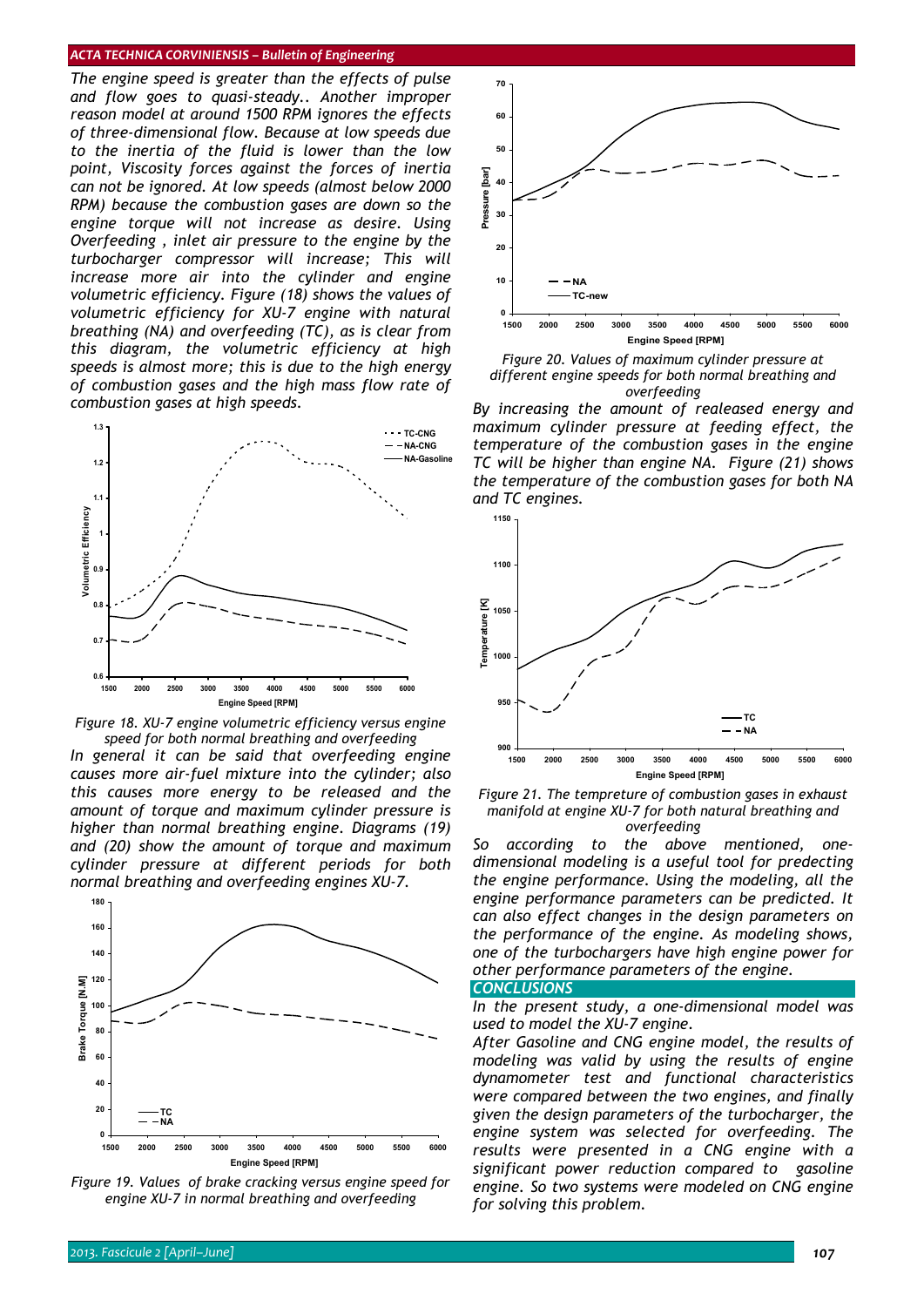*The engine speed is greater than the effects of pulse and flow goes to quasi-steady.. Another improper reason model at around 1500 RPM ignores the effects of three-dimensional flow. Because at low speeds due to the inertia of the fluid is lower than the low point, Viscosity forces against the forces of inertia can not be ignored. At low speeds (almost below 2000 RPM) because the combustion gases are down so the engine torque will not increase as desire. Using Overfeeding , inlet air pressure to the engine by the turbocharger compressor will increase; This will increase more air into the cylinder and engine volumetric efficiency. Figure (18) shows the values of volumetric efficiency for XU-7 engine with natural breathing (NA) and overfeeding (TC), as is clear from this diagram, the volumetric efficiency at high speeds is almost more; this is due to the high energy of combustion gases and the high mass flow rate of combustion gases at high speeds.* 



*Figure 18. XU-7 engine volumetric efficiency versus engine speed for both normal breathing and overfeeding* 

*In general it can be said that overfeeding engine causes more air-fuel mixture into the cylinder; also this causes more energy to be released and the amount of torque and maximum cylinder pressure is higher than normal breathing engine. Diagrams (19) and (20) show the amount of torque and maximum cylinder pressure at different periods for both normal breathing and overfeeding engines XU-7.* 



*Figure 19. Values of brake cracking versus engine speed for engine XU-7 in normal breathing and overfeeding* 



*Figure 20. Values of maximum cylinder pressure at different engine speeds for both normal breathing and overfeeding* 

*By increasing the amount of realeased energy and maximum cylinder pressure at feeding effect, the temperature of the combustion gases in the engine TC will be higher than engine NA. Figure (21) shows the temperature of the combustion gases for both NA and TC engines.* 



*Figure 21. The tempreture of combustion gases in exhaust manifold at engine XU-7 for both natural breathing and overfeeding* 

*So according to the above mentioned, onedimensional modeling is a useful tool for predecting the engine performance. Using the modeling, all the engine performance parameters can be predicted. It can also effect changes in the design parameters on the performance of the engine. As modeling shows, one of the turbochargers have high engine power for other performance parameters of the engine.* 

*CONCLUSIONS* 

*In the present study, a one-dimensional model was used to model the XU-7 engine.* 

*After Gasoline and CNG engine model, the results of modeling was valid by using the results of engine dynamometer test and functional characteristics were compared between the two engines, and finally given the design parameters of the turbocharger, the engine system was selected for overfeeding. The results were presented in a CNG engine with a significant power reduction compared to gasoline engine. So two systems were modeled on CNG engine for solving this problem.*